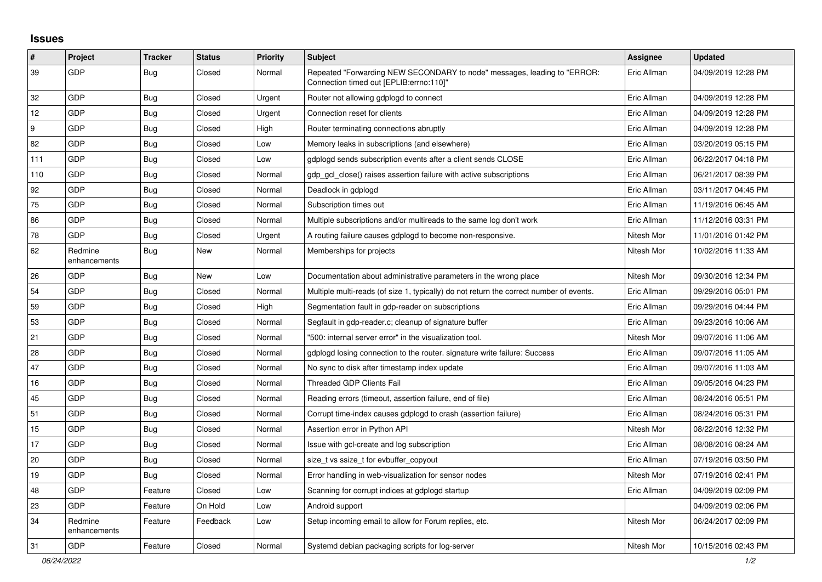## **Issues**

| $\vert$ # | Project                 | <b>Tracker</b> | <b>Status</b> | <b>Priority</b> | <b>Subject</b>                                                                                                      | Assignee    | <b>Updated</b>      |
|-----------|-------------------------|----------------|---------------|-----------------|---------------------------------------------------------------------------------------------------------------------|-------------|---------------------|
| 39        | GDP                     | <b>Bug</b>     | Closed        | Normal          | Repeated "Forwarding NEW SECONDARY to node" messages, leading to "ERROR:<br>"Connection timed out [EPLIB:errno:110] | Eric Allman | 04/09/2019 12:28 PM |
| 32        | GDP                     | <b>Bug</b>     | Closed        | Urgent          | Router not allowing gdplogd to connect                                                                              | Eric Allman | 04/09/2019 12:28 PM |
| 12        | GDP                     | Bug            | Closed        | Urgent          | Connection reset for clients                                                                                        | Eric Allman | 04/09/2019 12:28 PM |
| 9         | GDP                     | Bug            | Closed        | High            | Router terminating connections abruptly                                                                             | Eric Allman | 04/09/2019 12:28 PM |
| 82        | GDP                     | Bug            | Closed        | Low             | Memory leaks in subscriptions (and elsewhere)                                                                       | Eric Allman | 03/20/2019 05:15 PM |
| 111       | GDP                     | Bug            | Closed        | Low             | gdplogd sends subscription events after a client sends CLOSE                                                        | Eric Allman | 06/22/2017 04:18 PM |
| 110       | GDP                     | <b>Bug</b>     | Closed        | Normal          | gdp_gcl_close() raises assertion failure with active subscriptions                                                  | Eric Allman | 06/21/2017 08:39 PM |
| 92        | GDP                     | Bug            | Closed        | Normal          | Deadlock in gdplogd                                                                                                 | Eric Allman | 03/11/2017 04:45 PM |
| 75        | <b>GDP</b>              | Bug            | Closed        | Normal          | Subscription times out                                                                                              | Eric Allman | 11/19/2016 06:45 AM |
| 86        | GDP                     | <b>Bug</b>     | Closed        | Normal          | Multiple subscriptions and/or multireads to the same log don't work                                                 | Eric Allman | 11/12/2016 03:31 PM |
| 78        | <b>GDP</b>              | <b>Bug</b>     | Closed        | Urgent          | A routing failure causes gdplogd to become non-responsive.                                                          | Nitesh Mor  | 11/01/2016 01:42 PM |
| 62        | Redmine<br>enhancements | <b>Bug</b>     | New           | Normal          | Memberships for projects                                                                                            | Nitesh Mor  | 10/02/2016 11:33 AM |
| 26        | GDP                     | <b>Bug</b>     | New           | Low             | Documentation about administrative parameters in the wrong place                                                    | Nitesh Mor  | 09/30/2016 12:34 PM |
| 54        | GDP                     | Bug            | Closed        | Normal          | Multiple multi-reads (of size 1, typically) do not return the correct number of events.                             | Eric Allman | 09/29/2016 05:01 PM |
| 59        | GDP                     | <b>Bug</b>     | Closed        | High            | Segmentation fault in gdp-reader on subscriptions                                                                   | Eric Allman | 09/29/2016 04:44 PM |
| 53        | GDP                     | Bug            | Closed        | Normal          | Segfault in gdp-reader.c; cleanup of signature buffer                                                               | Eric Allman | 09/23/2016 10:06 AM |
| 21        | GDP                     | Bug            | Closed        | Normal          | "500: internal server error" in the visualization tool.                                                             | Nitesh Mor  | 09/07/2016 11:06 AM |
| 28        | GDP                     | <b>Bug</b>     | Closed        | Normal          | gdplogd losing connection to the router, signature write failure: Success                                           | Eric Allman | 09/07/2016 11:05 AM |
| 47        | GDP                     | Bug            | Closed        | Normal          | No sync to disk after timestamp index update                                                                        | Eric Allman | 09/07/2016 11:03 AM |
| 16        | GDP                     | <b>Bug</b>     | Closed        | Normal          | <b>Threaded GDP Clients Fail</b>                                                                                    | Eric Allman | 09/05/2016 04:23 PM |
| 45        | GDP                     | Bug            | Closed        | Normal          | Reading errors (timeout, assertion failure, end of file)                                                            | Eric Allman | 08/24/2016 05:51 PM |
| 51        | <b>GDP</b>              | Bug            | Closed        | Normal          | Corrupt time-index causes gdplogd to crash (assertion failure)                                                      | Eric Allman | 08/24/2016 05:31 PM |
| 15        | GDP                     | <b>Bug</b>     | Closed        | Normal          | Assertion error in Python API                                                                                       | Nitesh Mor  | 08/22/2016 12:32 PM |
| 17        | GDP                     | <b>Bug</b>     | Closed        | Normal          | Issue with gcl-create and log subscription                                                                          | Eric Allman | 08/08/2016 08:24 AM |
| 20        | GDP                     | Bug            | Closed        | Normal          | size_t vs ssize_t for evbuffer_copyout                                                                              | Eric Allman | 07/19/2016 03:50 PM |
| 19        | GDP                     | Bug            | Closed        | Normal          | Error handling in web-visualization for sensor nodes                                                                | Nitesh Mor  | 07/19/2016 02:41 PM |
| 48        | GDP                     | Feature        | Closed        | Low             | Scanning for corrupt indices at gdplogd startup                                                                     | Eric Allman | 04/09/2019 02:09 PM |
| 23        | GDP                     | Feature        | On Hold       | Low             | Android support                                                                                                     |             | 04/09/2019 02:06 PM |
| 34        | Redmine<br>enhancements | Feature        | Feedback      | Low             | Setup incoming email to allow for Forum replies, etc.                                                               | Nitesh Mor  | 06/24/2017 02:09 PM |
| 31        | GDP                     | Feature        | Closed        | Normal          | Systemd debian packaging scripts for log-server                                                                     | Nitesh Mor  | 10/15/2016 02:43 PM |